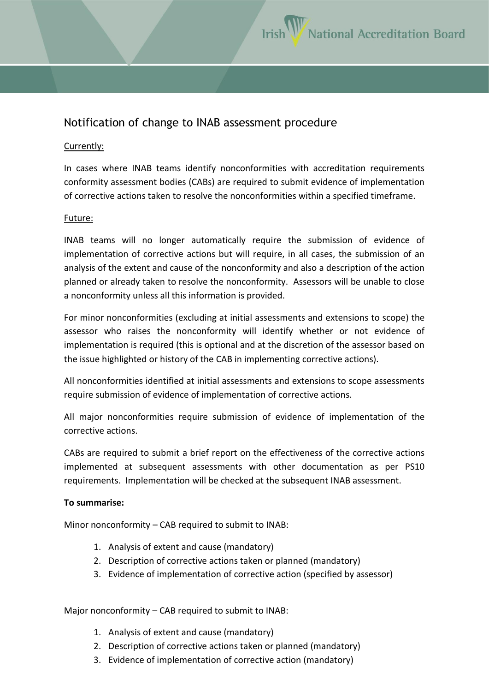## Notification of change to INAB assessment procedure

## Currently:

In cases where INAB teams identify nonconformities with accreditation requirements conformity assessment bodies (CABs) are required to submit evidence of implementation of corrective actions taken to resolve the nonconformities within a specified timeframe.

## Future:

INAB teams will no longer automatically require the submission of evidence of implementation of corrective actions but will require, in all cases, the submission of an analysis of the extent and cause of the nonconformity and also a description of the action planned or already taken to resolve the nonconformity. Assessors will be unable to close a nonconformity unless all this information is provided.

For minor nonconformities (excluding at initial assessments and extensions to scope) the assessor who raises the nonconformity will identify whether or not evidence of implementation is required (this is optional and at the discretion of the assessor based on the issue highlighted or history of the CAB in implementing corrective actions).

All nonconformities identified at initial assessments and extensions to scope assessments require submission of evidence of implementation of corrective actions.

All major nonconformities require submission of evidence of implementation of the corrective actions.

CABs are required to submit a brief report on the effectiveness of the corrective actions implemented at subsequent assessments with other documentation as per PS10 requirements. Implementation will be checked at the subsequent INAB assessment.

## **To summarise:**

Minor nonconformity – CAB required to submit to INAB:

- 1. Analysis of extent and cause (mandatory)
- 2. Description of corrective actions taken or planned (mandatory)
- 3. Evidence of implementation of corrective action (specified by assessor)

Major nonconformity – CAB required to submit to INAB:

- 1. Analysis of extent and cause (mandatory)
- 2. Description of corrective actions taken or planned (mandatory)
- 3. Evidence of implementation of corrective action (mandatory)